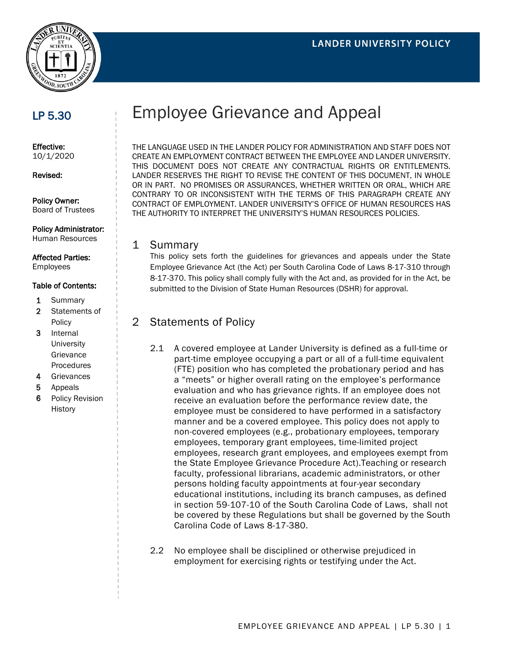

## LP 5.30

Effective: 10/1/2020

Revised:

Policy Owner: Board of Trustees

### Policy Administrator:

Human Resources

#### Affected Parties:

Employees

#### Table of Contents:

- 1 Summary
- 2 Statements of Policy
- 3 Internal **University** Grievance Procedures
- 4 Grievances
- 5 Appeals
- 6 Policy Revision **History**

# Employee Grievance and Appeal

THE LANGUAGE USED IN THE LANDER POLICY FOR ADMINISTRATION AND STAFF DOES NOT CREATE AN EMPLOYMENT CONTRACT BETWEEN THE EMPLOYEE AND LANDER UNIVERSITY. THIS DOCUMENT DOES NOT CREATE ANY CONTRACTUAL RIGHTS OR ENTITLEMENTS. LANDER RESERVES THE RIGHT TO REVISE THE CONTENT OF THIS DOCUMENT, IN WHOLE OR IN PART. NO PROMISES OR ASSURANCES, WHETHER WRITTEN OR ORAL, WHICH ARE CONTRARY TO OR INCONSISTENT WITH THE TERMS OF THIS PARAGRAPH CREATE ANY CONTRACT OF EMPLOYMENT. LANDER UNIVERSITY'S OFFICE OF HUMAN RESOURCES HAS THE AUTHORITY TO INTERPRET THE UNIVERSITY'S HUMAN RESOURCES POLICIES.

#### 1 Summary

This policy sets forth the guidelines for grievances and appeals under the State Employee Grievance Act (the Act) per South Carolina Code of Laws 8-17-310 through 8-17-370. This policy shall comply fully with the Act and, as provided for in the Act, be submitted to the Division of State Human Resources (DSHR) for approval.

## 2 Statements of Policy

- 2.1 A covered employee at Lander University is defined as a full-time or part-time employee occupying a part or all of a full-time equivalent (FTE) position who has completed the probationary period and has a "meets" or higher overall rating on the employee's performance evaluation and who has grievance rights. If an employee does not receive an evaluation before the performance review date, the employee must be considered to have performed in a satisfactory manner and be a covered employee. This policy does not apply to non-covered employees (e.g., probationary employees, temporary employees, temporary grant employees, time-limited project employees, research grant employees, and employees exempt from the State Employee Grievance Procedure Act).Teaching or research faculty, professional librarians, academic administrators, or other persons holding faculty appointments at four-year secondary educational institutions, including its branch campuses, as defined in section 59-107-10 of the South Carolina Code of Laws, shall not be covered by these Regulations but shall be governed by the South Carolina Code of Laws 8-17-380.
- 2.2 No employee shall be disciplined or otherwise prejudiced in employment for exercising rights or testifying under the Act.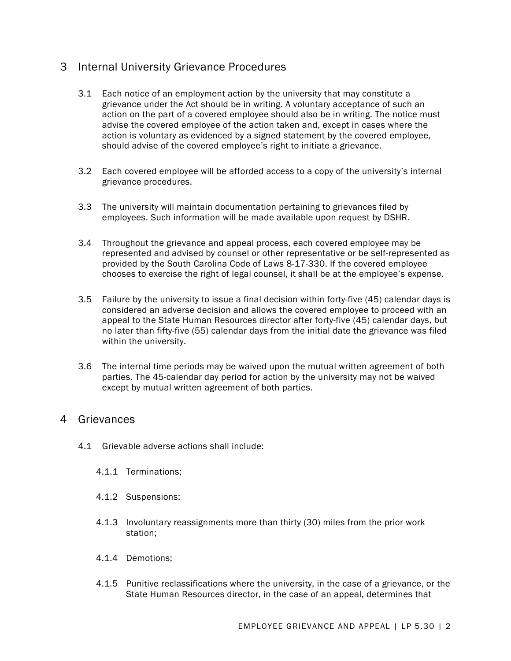## 3 Internal University Grievance Procedures

- 3.1 Each notice of an employment action by the university that may constitute a grievance under the Act should be in writing. A voluntary acceptance of such an action on the part of a covered employee should also be in writing. The notice must advise the covered employee of the action taken and, except in cases where the action is voluntary as evidenced by a signed statement by the covered employee, should advise of the covered employee's right to initiate a grievance.
- 3.2 Each covered employee will be afforded access to a copy of the university's internal grievance procedures.
- 3.3 The university will maintain documentation pertaining to grievances filed by employees. Such information will be made available upon request by DSHR.
- 3.4 Throughout the grievance and appeal process, each covered employee may be represented and advised by counsel or other representative or be self-represented as provided by the South Carolina Code of Laws 8-17-330. If the covered employee chooses to exercise the right of legal counsel, it shall be at the employee's expense.
- 3.5 Failure by the university to issue a final decision within forty-five (45) calendar days is considered an adverse decision and allows the covered employee to proceed with an appeal to the State Human Resources director after forty-five (45) calendar days, but no later than fifty-five (55) calendar days from the initial date the grievance was filed within the university.
- 3.6 The internal time periods may be waived upon the mutual written agreement of both parties. The 45-calendar day period for action by the university may not be waived except by mutual written agreement of both parties.

## 4 Grievances

- 4.1 Grievable adverse actions shall include:
	- 4.1.1 Terminations;
	- 4.1.2 Suspensions;
	- 4.1.3 Involuntary reassignments more than thirty (30) miles from the prior work station;
	- 4.1.4 Demotions;
	- 4.1.5 Punitive reclassifications where the university, in the case of a grievance, or the State Human Resources director, in the case of an appeal, determines that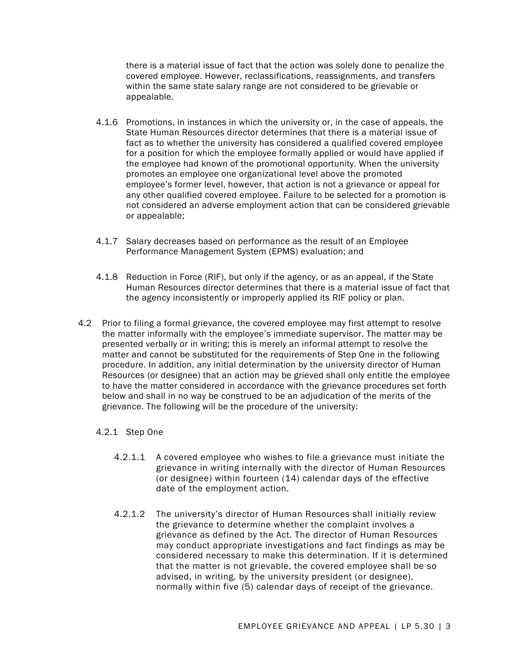there is a material issue of fact that the action was solely done to penalize the covered employee. However, reclassifications, reassignments, and transfers within the same state salary range are not considered to be grievable or appealable.

- 4.1.6 Promotions, in instances in which the university or, in the case of appeals, the State Human Resources director determines that there is a material issue of fact as to whether the university has considered a qualified covered employee for a position for which the employee formally applied or would have applied if the employee had known of the promotional opportunity. When the university promotes an employee one organizational level above the promoted employee's former level, however, that action is not a grievance or appeal for any other qualified covered employee. Failure to be selected for a promotion is not considered an adverse employment action that can be considered grievable or appealable;
- 4.1.7 Salary decreases based on performance as the result of an Employee Performance Management System (EPMS) evaluation; and
- 4.1.8 Reduction in Force (RIF), but only if the agency, or as an appeal, if the State Human Resources director determines that there is a material issue of fact that the agency inconsistently or improperly applied its RIF policy or plan.
- 4.2 Prior to filing a formal grievance, the covered employee may first attempt to resolve the matter informally with the employee's immediate supervisor. The matter may be presented verbally or in writing; this is merely an informal attempt to resolve the matter and cannot be substituted for the requirements of Step One in the following procedure. In addition, any initial determination by the university director of Human Resources (or designee) that an action may be grieved shall only entitle the employee to have the matter considered in accordance with the grievance procedures set forth below and shall in no way be construed to be an adjudication of the merits of the grievance. The following will be the procedure of the university:

#### 4.2.1 Step One

- 4.2.1.1 A covered employee who wishes to file a grievance must initiate the grievance in writing internally with the director of Human Resources (or designee) within fourteen (14) calendar days of the effective date of the employment action.
- 4.2.1.2 The university's director of Human Resources shall initially review the grievance to determine whether the complaint involves a grievance as defined by the Act. The director of Human Resources may conduct appropriate investigations and fact findings as may be considered necessary to make this determination. If it is determined that the matter is not grievable, the covered employee shall be so advised, in writing, by the university president (or designee), normally within five (5) calendar days of receipt of the grievance.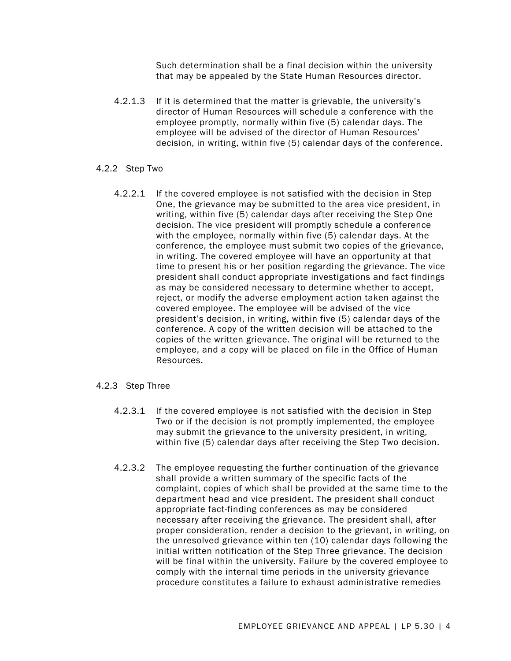Such determination shall be a final decision within the university that may be appealed by the State Human Resources director.

4.2.1.3 If it is determined that the matter is grievable, the university's director of Human Resources will schedule a conference with the employee promptly, normally within five (5) calendar days. The employee will be advised of the director of Human Resources' decision, in writing, within five (5) calendar days of the conference.

#### 4.2.2 Step Two

4.2.2.1 If the covered employee is not satisfied with the decision in Step One, the grievance may be submitted to the area vice president, in writing, within five (5) calendar days after receiving the Step One decision. The vice president will promptly schedule a conference with the employee, normally within five (5) calendar days. At the conference, the employee must submit two copies of the grievance, in writing. The covered employee will have an opportunity at that time to present his or her position regarding the grievance. The vice president shall conduct appropriate investigations and fact findings as may be considered necessary to determine whether to accept, reject, or modify the adverse employment action taken against the covered employee. The employee will be advised of the vice president's decision, in writing, within five (5) calendar days of the conference. A copy of the written decision will be attached to the copies of the written grievance. The original will be returned to the employee, and a copy will be placed on file in the Office of Human Resources.

#### 4.2.3 Step Three

- 4.2.3.1 If the covered employee is not satisfied with the decision in Step Two or if the decision is not promptly implemented, the employee may submit the grievance to the university president, in writing, within five (5) calendar days after receiving the Step Two decision.
- 4.2.3.2 The employee requesting the further continuation of the grievance shall provide a written summary of the specific facts of the complaint, copies of which shall be provided at the same time to the department head and vice president. The president shall conduct appropriate fact-finding conferences as may be considered necessary after receiving the grievance. The president shall, after proper consideration, render a decision to the grievant, in writing, on the unresolved grievance within ten (10) calendar days following the initial written notification of the Step Three grievance. The decision will be final within the university. Failure by the covered employee to comply with the internal time periods in the university grievance procedure constitutes a failure to exhaust administrative remedies